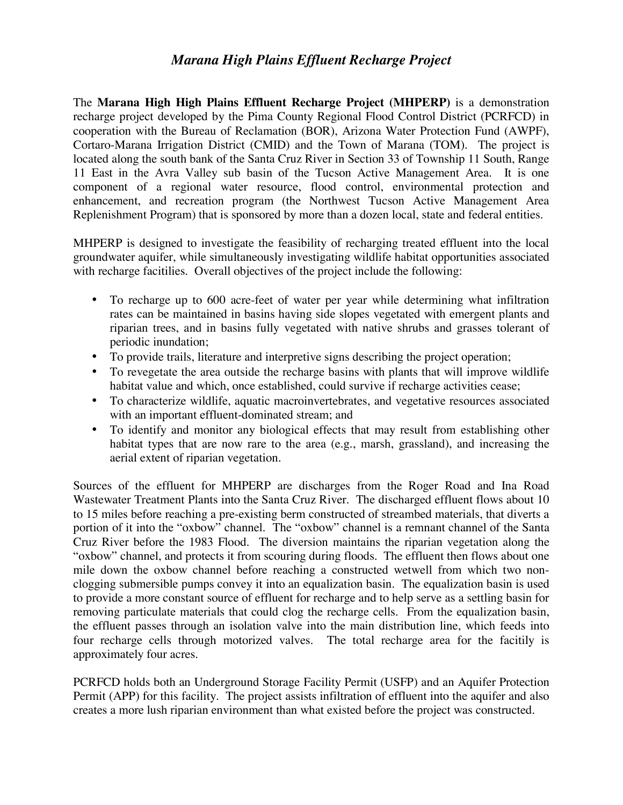## *Marana High Plains Effluent Recharge Project*

The **Marana High High Plains Effluent Recharge Project (MHPERP)** is a demonstration recharge project developed by the Pima County Regional Flood Control District (PCRFCD) in cooperation with the Bureau of Reclamation (BOR), Arizona Water Protection Fund (AWPF), Cortaro-Marana Irrigation District (CMID) and the Town of Marana (TOM). The project is located along the south bank of the Santa Cruz River in Section 33 of Township 11 South, Range 11 East in the Avra Valley sub basin of the Tucson Active Management Area. It is one component of a regional water resource, flood control, environmental protection and enhancement, and recreation program (the Northwest Tucson Active Management Area Replenishment Program) that is sponsored by more than a dozen local, state and federal entities.

MHPERP is designed to investigate the feasibility of recharging treated effluent into the local groundwater aquifer, while simultaneously investigating wildlife habitat opportunities associated with recharge facitilies. Overall objectives of the project include the following:

- To recharge up to 600 acre-feet of water per year while determining what infiltration rates can be maintained in basins having side slopes vegetated with emergent plants and riparian trees, and in basins fully vegetated with native shrubs and grasses tolerant of periodic inundation;
- To provide trails, literature and interpretive signs describing the project operation;
- To revegetate the area outside the recharge basins with plants that will improve wildlife habitat value and which, once established, could survive if recharge activities cease;
- To characterize wildlife, aquatic macroinvertebrates, and vegetative resources associated with an important effluent-dominated stream; and
- To identify and monitor any biological effects that may result from establishing other habitat types that are now rare to the area (e.g., marsh, grassland), and increasing the aerial extent of riparian vegetation.

Sources of the effluent for MHPERP are discharges from the Roger Road and Ina Road Wastewater Treatment Plants into the Santa Cruz River. The discharged effluent flows about 10 to 15 miles before reaching a pre-existing berm constructed of streambed materials, that diverts a portion of it into the "oxbow" channel. The "oxbow" channel is a remnant channel of the Santa Cruz River before the 1983 Flood. The diversion maintains the riparian vegetation along the "oxbow" channel, and protects it from scouring during floods. The effluent then flows about one mile down the oxbow channel before reaching a constructed wetwell from which two nonclogging submersible pumps convey it into an equalization basin. The equalization basin is used to provide a more constant source of effluent for recharge and to help serve as a settling basin for removing particulate materials that could clog the recharge cells. From the equalization basin, the effluent passes through an isolation valve into the main distribution line, which feeds into four recharge cells through motorized valves. The total recharge area for the facitily is approximately four acres.

PCRFCD holds both an Underground Storage Facility Permit (USFP) and an Aquifer Protection Permit (APP) for this facility. The project assists infiltration of effluent into the aquifer and also creates a more lush riparian environment than what existed before the project was constructed.